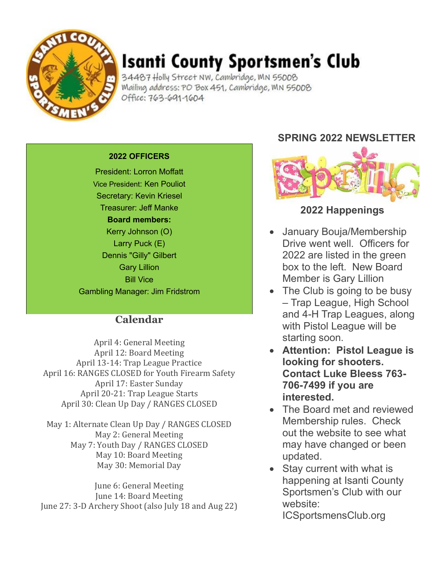

# **Isanti County Sportsmen's Club**

34487 Holly Street NW, Cambridge, MN 55008 Mailing address: PO Box 451, Cambridge, MN 55008 Office: 763-691-1604

#### **2022 OFFICERS**

President: Lorron Moffatt Vice President: Ken Pouliot Secretary: Kevin Kriesel Treasurer: Jeff Manke **Board members:** Kerry Johnson (O) Larry Puck (E) Dennis "Gilly" Gilbert Gary Lillion Bill Vice Gambling Manager: Jim Fridstrom

#### **Calendar**

April 4: General Meeting April 12: Board Meeting April 13-14: Trap League Practice April 16: RANGES CLOSED for Youth Firearm Safety April 17: Easter Sunday April 20-21: Trap League Starts April 30: Clean Up Day / RANGES CLOSED

May 1: Alternate Clean Up Day / RANGES CLOSED May 2: General Meeting May 7: Youth Day / RANGES CLOSED May 10: Board Meeting May 30: Memorial Day

June 6: General Meeting June 14: Board Meeting June 27: 3-D Archery Shoot (also July 18 and Aug 22)

### **SPRING 2022 NEWSLETTER**



#### **2022 Happenings**

- January Bouja/Membership Drive went well. Officers for 2022 are listed in the green box to the left. New Board Member is Gary Lillion
- The Club is going to be busy – Trap League, High School and 4-H Trap Leagues, along with Pistol League will be starting soon.
- **Attention: Pistol League is looking for shooters. Contact Luke Bleess 763- 706-7499 if you are interested.**
- The Board met and reviewed Membership rules. Check out the website to see what may have changed or been updated.
- Stay current with what is happening at Isanti County Sportsmen's Club with our website:

ICSportsmensClub.org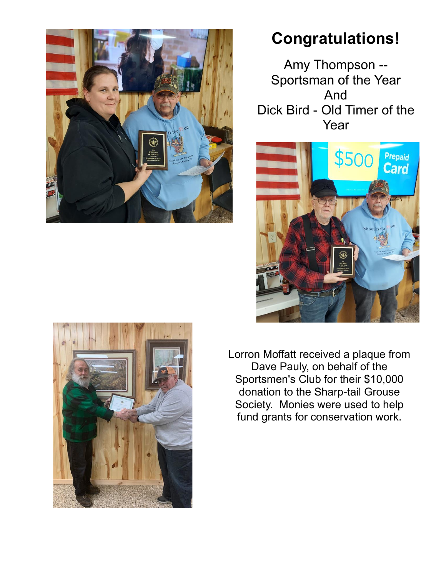

## **Congratulations!**

Amy Thompson -- Sportsman of the Year And Dick Bird - Old Timer of the Year





Lorron Moffatt received a plaque from Dave Pauly, on behalf of the Sportsmen's Club for their \$10,000 donation to the Sharp-tail Grouse Society. Monies were used to help fund grants for conservation work.